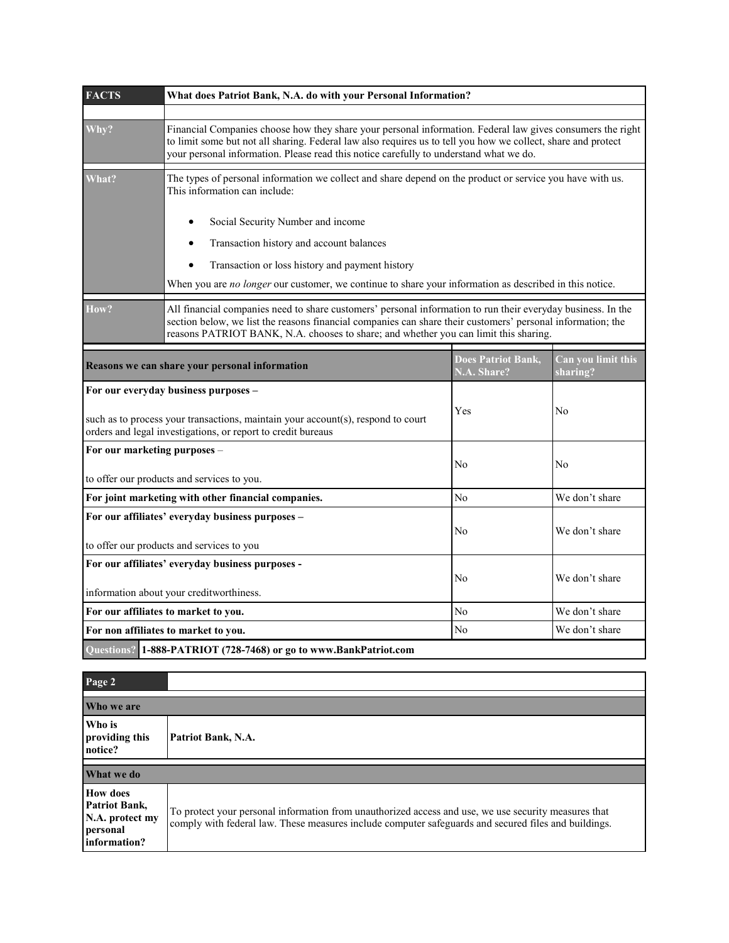| <b>FACTS</b>                                                                                                                                     | What does Patriot Bank, N.A. do with your Personal Information?                                                                                                                                                                                                                                                       |                                          |                                |  |  |
|--------------------------------------------------------------------------------------------------------------------------------------------------|-----------------------------------------------------------------------------------------------------------------------------------------------------------------------------------------------------------------------------------------------------------------------------------------------------------------------|------------------------------------------|--------------------------------|--|--|
|                                                                                                                                                  |                                                                                                                                                                                                                                                                                                                       |                                          |                                |  |  |
| Why?                                                                                                                                             | Financial Companies choose how they share your personal information. Federal law gives consumers the right<br>to limit some but not all sharing. Federal law also requires us to tell you how we collect, share and protect<br>your personal information. Please read this notice carefully to understand what we do. |                                          |                                |  |  |
| What?                                                                                                                                            | The types of personal information we collect and share depend on the product or service you have with us.<br>This information can include:                                                                                                                                                                            |                                          |                                |  |  |
|                                                                                                                                                  | Social Security Number and income                                                                                                                                                                                                                                                                                     |                                          |                                |  |  |
|                                                                                                                                                  | Transaction history and account balances<br>$\bullet$                                                                                                                                                                                                                                                                 |                                          |                                |  |  |
|                                                                                                                                                  | Transaction or loss history and payment history                                                                                                                                                                                                                                                                       |                                          |                                |  |  |
|                                                                                                                                                  | When you are no longer our customer, we continue to share your information as described in this notice.                                                                                                                                                                                                               |                                          |                                |  |  |
| How?                                                                                                                                             | All financial companies need to share customers' personal information to run their everyday business. In the<br>section below, we list the reasons financial companies can share their customers' personal information; the<br>reasons PATRIOT BANK, N.A. chooses to share; and whether you can limit this sharing.   |                                          |                                |  |  |
|                                                                                                                                                  | Reasons we can share your personal information                                                                                                                                                                                                                                                                        | <b>Does Patriot Bank,</b><br>N.A. Share? | Can you limit this<br>sharing? |  |  |
| For our everyday business purposes -                                                                                                             |                                                                                                                                                                                                                                                                                                                       |                                          |                                |  |  |
| such as to process your transactions, maintain your account(s), respond to court<br>orders and legal investigations, or report to credit bureaus |                                                                                                                                                                                                                                                                                                                       | Yes                                      | N <sub>0</sub>                 |  |  |
| For our marketing purposes -                                                                                                                     |                                                                                                                                                                                                                                                                                                                       |                                          |                                |  |  |
|                                                                                                                                                  |                                                                                                                                                                                                                                                                                                                       | No                                       | No                             |  |  |
| to offer our products and services to you.<br>For joint marketing with other financial companies.                                                |                                                                                                                                                                                                                                                                                                                       | No                                       | We don't share                 |  |  |
| For our affiliates' everyday business purposes -                                                                                                 |                                                                                                                                                                                                                                                                                                                       |                                          |                                |  |  |
|                                                                                                                                                  |                                                                                                                                                                                                                                                                                                                       | No                                       | We don't share                 |  |  |
| to offer our products and services to you                                                                                                        |                                                                                                                                                                                                                                                                                                                       |                                          |                                |  |  |
|                                                                                                                                                  | For our affiliates' everyday business purposes -                                                                                                                                                                                                                                                                      | No                                       | We don't share                 |  |  |
|                                                                                                                                                  | information about your creditworthiness.                                                                                                                                                                                                                                                                              |                                          |                                |  |  |
| For our affiliates to market to you.                                                                                                             |                                                                                                                                                                                                                                                                                                                       | No                                       | We don't share                 |  |  |
| For non affiliates to market to you.                                                                                                             |                                                                                                                                                                                                                                                                                                                       | N <sub>0</sub>                           | We don't share                 |  |  |
|                                                                                                                                                  | Questions? 1-888-PATRIOT (728-7468) or go to www.BankPatriot.com                                                                                                                                                                                                                                                      |                                          |                                |  |  |

| Page 2                                                                                 |                                                                                                                                                                                                              |  |
|----------------------------------------------------------------------------------------|--------------------------------------------------------------------------------------------------------------------------------------------------------------------------------------------------------------|--|
| Who we are                                                                             |                                                                                                                                                                                                              |  |
| Who is<br>providing this<br>notice?                                                    | Patriot Bank, N.A.                                                                                                                                                                                           |  |
| What we do                                                                             |                                                                                                                                                                                                              |  |
| <b>How does</b><br><b>Patriot Bank,</b><br>N.A. protect my<br>personal<br>information? | To protect your personal information from unauthorized access and use, we use security measures that<br>comply with federal law. These measures include computer safeguards and secured files and buildings. |  |